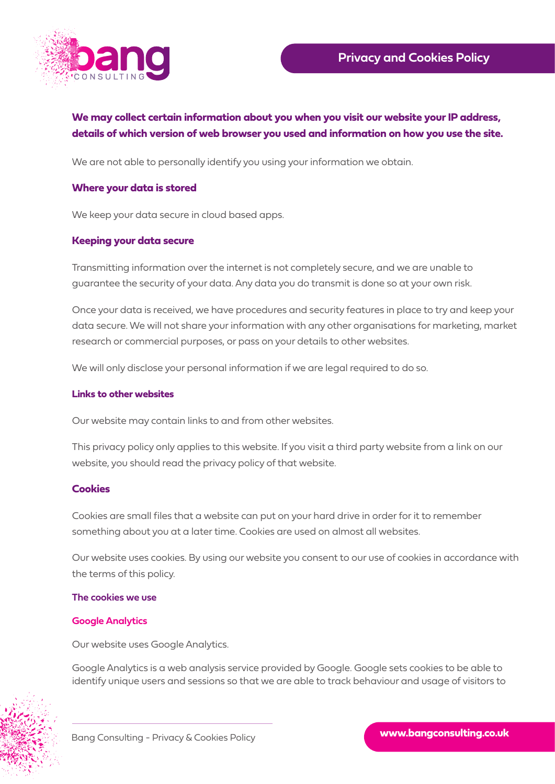

# **We may collect certain information about you when you visit our website your IP address, details of which version of web browser you used and information on how you use the site.**

We are not able to personally identify you using your information we obtain.

## **Where your data is stored**

We keep your data secure in cloud based apps.

### **Keeping your data secure**

Transmitting information over the internet is not completely secure, and we are unable to guarantee the security of your data. Any data you do transmit is done so at your own risk.

Once your data is received, we have procedures and security features in place to try and keep your data secure. We will not share your information with any other organisations for marketing, market research or commercial purposes, or pass on your details to other websites.

We will only disclose your personal information if we are legal required to do so.

### **Links to other websites**

Our website may contain links to and from other websites.

This privacy policy only applies to this website. If you visit a third party website from a link on our website, you should read the privacy policy of that website.

### **Cookies**

Cookies are small files that a website can put on your hard drive in order for it to remember something about you at a later time. Cookies are used on almost all websites.

Our website uses cookies. By using our website you consent to our use of cookies in accordance with the terms of this policy.

#### **The cookies we use**

### **Google Analytics**

Our website uses Google Analytics.

Google Analytics is a web analysis service provided by Google. Google sets cookies to be able to identify unique users and sessions so that we are able to track behaviour and usage of visitors to